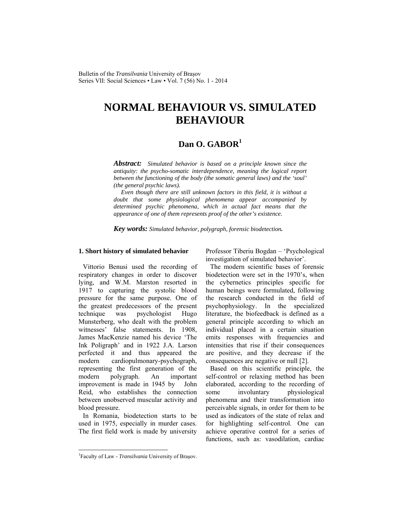Bulletin of the *Transilvania* University of Braşov Series VII: Social Sciences • Law • Vol. 7 (56) No. 1 - 2014

# **NORMAL BEHAVIOUR VS. SIMULATED BEHAVIOUR**

## **Dan O. GABOR<sup>1</sup>**

*Abstract: Simulated behavior is based on a principle known since the antiquity: the psycho-somatic interdependence, meaning the logical report between the functioning of the body (the somatic general laws) and the 'soul' (the general psychic laws).* 

 *Even though there are still unknown factors in this field, it is without a doubt that some physiological phenomena appear accompanied by determined psychic phenomena, which in actual fact means that the appearance of one of them represents proof of the other's existence.* 

*Key words: Simulated behavior, polygraph, forensic biodetection.* 

#### **1. Short history of simulated behavior**

Vittorio Benusi used the recording of respiratory changes in order to discover lying, and W.M. Marston resorted in 1917 to capturing the systolic blood pressure for the same purpose. One of the greatest predecessors of the present technique was psychologist Hugo Munsterberg, who dealt with the problem witnesses' false statements. In 1908, James MacKenzie named his device 'The Ink Poligraph' and in 1922 J.A. Larson perfected it and thus appeared the modern cardiopulmonary-psychograph, representing the first generation of the modern polygraph. An important improvement is made in 1945 by John Reid, who establishes the connection between unobserved muscular activity and blood pressure.

In Romania, biodetection starts to be used in 1975, especially in murder cases. The first field work is made by university Professor Tiberiu Bogdan – 'Psychological investigation of simulated behavior'.

The modern scientific bases of forensic biodetection were set in the 1970's, when the cybernetics principles specific for human beings were formulated, following the research conducted in the field of psychophysiology. In the specialized literature, the biofeedback is defined as a general principle according to which an individual placed in a certain situation emits responses with frequencies and intensities that rise if their consequences are positive, and they decrease if the consequences are negative or null [2].

Based on this scientific principle, the self-control or relaxing method has been elaborated, according to the recording of some involuntary physiological phenomena and their transformation into perceivable signals, in order for them to be used as indicators of the state of relax and for highlighting self-control. One can achieve operative control for a series of functions, such as: vasodilation, cardiac

 $\overline{\phantom{a}}$ 

<sup>&</sup>lt;sup>1</sup>Faculty of Law - *Transilvania* University of Brașov.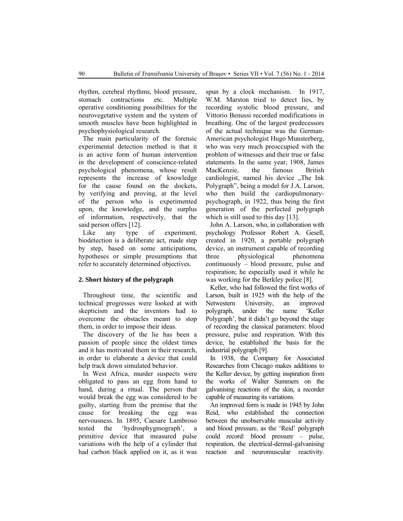rhythm, cerebral rhythms, blood pressure, stomach contractions etc. Multiple operative conditioning possibilities for the neurovegetative system and the system of smooth muscles have been highlighted in psychophysiological research.

The main particularity of the forensic experimental detection method is that it is an active form of human intervention in the development of conscience-related psychological phenomena, whose result represents the increase of knowledge for the cause found on the dockets, by verifying and proving, at the level of the person who is experimented upon, the knowledge, and the surplus of information, respectively, that the said person offers [12].

Like any type of experiment, biodetection is a deliberate act, made step by step, based on some anticipations, hypotheses or simple presumptions that refer to accurately determined objectives.

## **2. Short history of the polygraph**

Throughout time, the scientific and technical progresses were looked at with skepticism and the inventors had to overcome the obstacles meant to stop them, in order to impose their ideas.

The discovery of the lie has been a passion of people since the oldest times and it has motivated them in their research, in order to elaborate a device that could help track down simulated behavior.

In West Africa, murder suspects were obligated to pass an egg from hand to hand, during a ritual. The person that would break the egg was considered to be guilty, starting from the premise that the cause for breaking the egg was nervousness. In 1895, Caesare Lambroso tested the 'hydrosphygmograph', a primitive device that measured pulse variations with the help of a cylinder that had carbon black applied on it, as it was spun by a clock mechanism. In 1917, W.M. Marston tried to detect lies, by recording systolic blood pressure, and Vittorio Benussi recorded modifications in breathing. One of the largest predecessors of the actual technique was the German-American psychologist Hugo Munsterberg, who was very much preoccupied with the problem of witnesses and their true or false statements. In the same year, 1908, James MacKenzie, the famous British cardiologist, named his device "The Ink Polygraph", being a model for J.A. Larson, who then build the cardiopulmonarypsychograph, in 1922, thus being the first generation of the perfected polygraph which is still used to this day [13].

John A. Larson, who, in collaboration with psychology Professor Robert A. Gesell, created in 1920, a portable polygraph device, an instrument capable of recording three physiological phenomena continuously – blood pressure, pulse and respiration; he especially used it while he was working for the Berkley police [8].

Keller, who had followed the first works of Larson, built in 1925 with the help of the Netwestern University, an improved polygraph, under the name 'Keller Polygraph', but it didn't go beyond the stage of recording the classical parameters: blood pressure, pulse and respiration. With this device, he established the basis for the industrial polygraph [9].

In 1938, the Company for Associated Researches from Chicago makes additions to the Keller device, by getting inspiration from the works of Walter Summers on the galvanising reactions of the skin, a recorder capable of measuring its variations.

An improved form is made in 1945 by John Reid, who established the connection between the unobservable muscular activity and blood pressure, as the 'Reid' polygraph could record: blood pressure – pulse, respiration, the electrical-dermal-galvanising reaction and neuromuscular reactivity.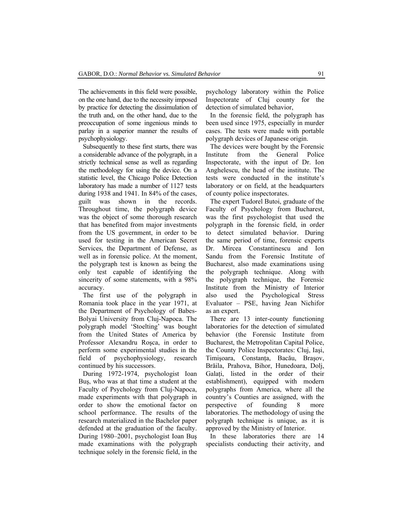The achievements in this field were possible, on the one hand, due to the necessity imposed by practice for detecting the dissimulation of the truth and, on the other hand, due to the preoccupation of some ingenious minds to parlay in a superior manner the results of psychophysiology.

Subsequently to these first starts, there was a considerable advance of the polygraph, in a strictly technical sense as well as regarding the methodology for using the device. On a statistic level, the Chicago Police Detection laboratory has made a number of 1127 tests during 1938 and 1941. In 84% of the cases, guilt was shown in the records. Throughout time, the polygraph device was the object of some thorough research that has benefited from major investments from the US government, in order to be used for testing in the American Secret Services, the Department of Defense, as well as in forensic police. At the moment, the polygraph test is known as being the only test capable of identifying the sincerity of some statements, with a 98% accuracy.

The first use of the polygraph in Romania took place in the year 1971, at the Department of Psychology of Babes-Bolyai University from Cluj-Napoca. The polygraph model 'Stoelting' was bought from the United States of America by Professor Alexandru Roşca, in order to perform some experimental studies in the field of psychophysiology, research continued by his successors.

During 1972-1974, psychologist Ioan Buş, who was at that time a student at the Faculty of Psychology from Cluj-Napoca, made experiments with that polygraph in order to show the emotional factor on school performance. The results of the research materialized in the Bachelor paper defended at the graduation of the faculty. During 1980–2001, psychologist Ioan Buş made examinations with the polygraph technique solely in the forensic field, in the psychology laboratory within the Police Inspectorate of Cluj county for the detection of simulated behavior,

In the forensic field, the polygraph has been used since 1975, especially in murder cases. The tests were made with portable polygraph devices of Japanese origin.

The devices were bought by the Forensic Institute from the General Police Inspectorate, with the input of Dr. Ion Anghelescu, the head of the institute. The tests were conducted in the institute's laboratory or on field, at the headquarters of county police inspectorates.

The expert Tudorel Butoi, graduate of the Faculty of Psychology from Bucharest, was the first psychologist that used the polygraph in the forensic field, in order to detect simulated behavior. During the same period of time, forensic experts Dr. Mircea Constantinescu and Ion Sandu from the Forensic Institute of Bucharest, also made examinations using the polygraph technique. Along with the polygraph technique, the Forensic Institute from the Ministry of Interior also used the Psychological Stress Evaluator – PSE, having Jean Nichifor as an expert.

There are 13 inter-county functioning laboratories for the detection of simulated behavior (the Forensic Institute from Bucharest, the Metropolitan Capital Police, the County Police Inspectorates: Cluj, Iaşi, Timişoara, Constanţa, Bacău, Braşov, Brăila, Prahova, Bihor, Hunedoara, Dolj, Galati, listed in the order of their establishment), equipped with modern polygraphs from America, where all the country's Counties are assigned, with the perspective of founding 8 more laboratories. The methodology of using the polygraph technique is unique, as it is approved by the Ministry of Interior.

In these laboratories there are 14 specialists conducting their activity, and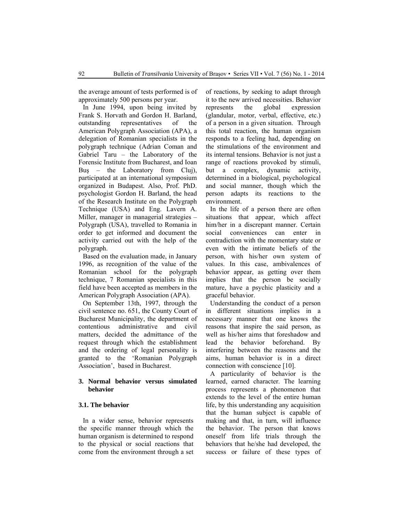the average amount of tests performed is of approximately 500 persons per year.

In June 1994, upon being invited by Frank S. Horvath and Gordon H. Barland, outstanding representatives of the American Polygraph Association (APA), a delegation of Romanian specialists in the polygraph technique (Adrian Coman and Gabriel Taru – the Laboratory of the Forensic Institute from Bucharest, and Ioan Buş – the Laboratory from Cluj), participated at an international symposium organized in Budapest. Also, Prof. PhD. psychologist Gordon H. Barland, the head of the Research Institute on the Polygraph Technique (USA) and Eng. Lavern A. Miller, manager in managerial strategies – Polygraph (USA), travelled to Romania in order to get informed and document the activity carried out with the help of the polygraph.

Based on the evaluation made, in January 1996, as recognition of the value of the Romanian school for the polygraph technique, 7 Romanian specialists in this field have been accepted as members in the American Polygraph Association (APA).

On September 13th, 1997, through the civil sentence no. 651, the County Court of Bucharest Municipality, the department of contentious administrative and civil matters, decided the admittance of the request through which the establishment and the ordering of legal personality is granted to the 'Romanian Polygraph Association', based in Bucharest.

## **3. Normal behavior versus simulated behavior**

## **3.1. The behavior**

In a wider sense, behavior represents the specific manner through which the human organism is determined to respond to the physical or social reactions that come from the environment through a set of reactions, by seeking to adapt through it to the new arrived necessities. Behavior represents the global expression (glandular, motor, verbal, effective, etc.) of a person in a given situation. Through this total reaction, the human organism responds to a feeling had, depending on the stimulations of the environment and its internal tensions. Behavior is not just a range of reactions provoked by stimuli, but a complex, dynamic activity, determined in a biological, psychological and social manner, though which the person adapts its reactions to the environment.

In the life of a person there are often situations that appear, which affect him/her in a discrepant manner. Certain social conveniences can enter in contradiction with the momentary state or even with the intimate beliefs of the person, with his/her own system of values. In this case, ambivalences of behavior appear, as getting over them implies that the person be socially mature, have a psychic plasticity and a graceful behavior.

Understanding the conduct of a person in different situations implies in a necessary manner that one knows the reasons that inspire the said person, as well as his/her aims that foreshadow and lead the behavior beforehand. By interfering between the reasons and the aims, human behavior is in a direct connection with conscience [10].

A particularity of behavior is the learned, earned character. The learning process represents a phenomenon that extends to the level of the entire human life, by this understanding any acquisition that the human subject is capable of making and that, in turn, will influence the behavior. The person that knows oneself from life trials through the behaviors that he/she had developed, the success or failure of these types of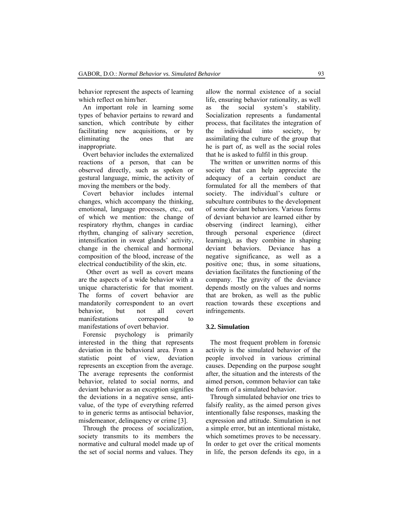behavior represent the aspects of learning which reflect on him/her

An important role in learning some types of behavior pertains to reward and sanction, which contribute by either facilitating new acquisitions, or by eliminating the ones that are inappropriate.

Overt behavior includes the externalized reactions of a person, that can be observed directly, such as spoken or gestural language, mimic, the activity of moving the members or the body.

Covert behavior includes internal changes, which accompany the thinking, emotional, language processes, etc., out of which we mention: the change of respiratory rhythm, changes in cardiac rhythm, changing of salivary secretion, intensification in sweat glands' activity, change in the chemical and hormonal composition of the blood, increase of the electrical conductibility of the skin, etc.

 Other overt as well as covert means are the aspects of a wide behavior with a unique characteristic for that moment. The forms of covert behavior are mandatorily correspondent to an overt behavior, but not all covert manifestations correspond to manifestations of overt behavior.

Forensic psychology is primarily interested in the thing that represents deviation in the behavioral area. From a statistic point of view, deviation represents an exception from the average. The average represents the conformist behavior, related to social norms, and deviant behavior as an exception signifies the deviations in a negative sense, antivalue, of the type of everything referred to in generic terms as antisocial behavior, misdemeanor, delinquency or crime [3].

Through the process of socialization, society transmits to its members the normative and cultural model made up of the set of social norms and values. They

allow the normal existence of a social life, ensuring behavior rationality, as well as the social system's stability. Socialization represents a fundamental process, that facilitates the integration of the individual into society, by assimilating the culture of the group that he is part of, as well as the social roles that he is asked to fulfil in this group.

The written or unwritten norms of this society that can help appreciate the adequacy of a certain conduct are formulated for all the members of that society. The individual's culture or subculture contributes to the development of some deviant behaviors. Various forms of deviant behavior are learned either by observing (indirect learning), either through personal experience (direct learning), as they combine in shaping deviant behaviors. Deviance has a negative significance, as well as a positive one; thus, in some situations, deviation facilitates the functioning of the company. The gravity of the deviance depends mostly on the values and norms that are broken, as well as the public reaction towards these exceptions and infringements.

## **3.2. Simulation**

The most frequent problem in forensic activity is the simulated behavior of the people involved in various criminal causes. Depending on the purpose sought after, the situation and the interests of the aimed person, common behavior can take the form of a simulated behavior.

Through simulated behavior one tries to falsify reality, as the aimed person gives intentionally false responses, masking the expression and attitude. Simulation is not a simple error, but an intentional mistake, which sometimes proves to be necessary. In order to get over the critical moments in life, the person defends its ego, in a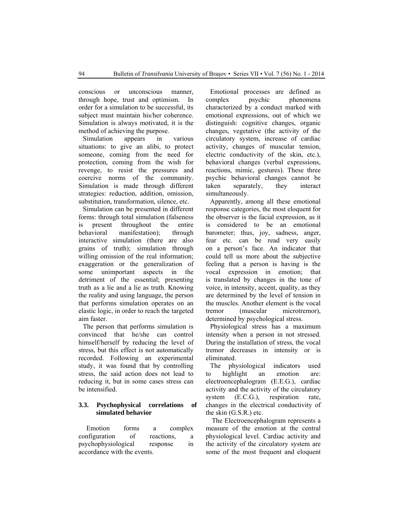conscious or unconscious manner, through hope, trust and optimism. In order for a simulation to be successful, its subject must maintain his/her coherence. Simulation is always motivated, it is the method of achieving the purpose.

Simulation appears in various situations: to give an alibi, to protect someone, coming from the need for protection, coming from the wish for revenge, to resist the pressures and coercive norms of the community. Simulation is made through different strategies: reduction, addition, omission, substitution, transformation, silence, etc.

Simulation can be presented in different forms: through total simulation (falseness is present throughout the entire behavioral manifestation); through interactive simulation (there are also grains of truth); simulation through willing omission of the real information; exaggeration or the generalization of some unimportant aspects in the detriment of the essential; presenting truth as a lie and a lie as truth. Knowing the reality and using language, the person that performs simulation operates on an elastic logic, in order to reach the targeted aim faster.

The person that performs simulation is convinced that he/she can control himself/herself by reducing the level of stress, but this effect is not automatically recorded. Following an experimental study, it was found that by controlling stress, the said action does not lead to reducing it, but in some cases stress can be intensified.

## **3.3. Psychophysical correlations of simulated behavior**

 Emotion forms a complex configuration of reactions, a psychophysiological response in accordance with the events.

Emotional processes are defined as complex psychic phenomena characterized by a conduct marked with emotional expressions, out of which we distinguish: cognitive changes, organic changes, vegetative (the activity of the circulatory system, increase of cardiac activity, changes of muscular tension, electric conductivity of the skin, etc.), behavioral changes (verbal expressions, reactions, mimic, gestures). These three psychic behavioral changes cannot be taken separately, they interact simultaneously.

Apparently, among all these emotional response categories, the most eloquent for the observer is the facial expression, as it is considered to be an emotional barometer; thus, joy, sadness, anger, fear etc. can be read very easily on a person's face. An indicator that could tell us more about the subjective feeling that a person is having is the vocal expression in emotion; that is translated by changes in the tone of voice, in intensity, accent, quality, as they are determined by the level of tension in the muscles. Another element is the vocal tremor (muscular microtremor), determined by psychological stress.

Physiological stress has a maximum intensity when a person in not stressed. During the installation of stress, the vocal tremor decreases in intensity or is eliminated.

The physiological indicators used to highlight an emotion are: electroencephalogram (E.E.G.), cardiac activity and the activity of the circulatory system (E.C.G.), respiration rate, changes in the electrical conductivity of the skin (G.S.R.) etc.

 The Electroencephalogram represents a measure of the emotion at the central physiological level. Cardiac activity and the activity of the circulatory system are some of the most frequent and eloquent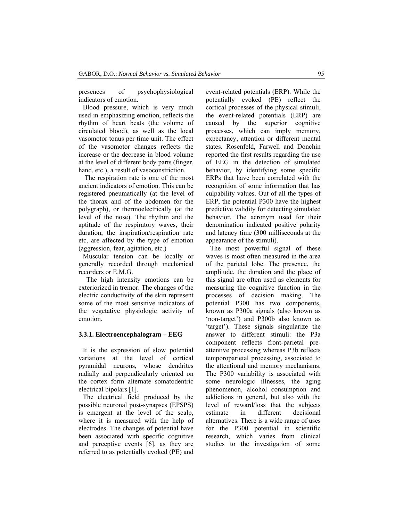presences of psychophysiological indicators of emotion.

Blood pressure, which is very much used in emphasizing emotion, reflects the rhythm of heart beats (the volume of circulated blood), as well as the local vasomotor tonus per time unit. The effect of the vasomotor changes reflects the increase or the decrease in blood volume at the level of different body parts (finger, hand, etc.), a result of vasoconstriction.

 The respiration rate is one of the most ancient indicators of emotion. This can be registered pneumatically (at the level of the thorax and of the abdomen for the polygraph), or thermoelectrically (at the level of the nose). The rhythm and the aptitude of the respiratory waves, their duration, the inspiration/respiration rate etc, are affected by the type of emotion (aggression, fear, agitation, etc.)

Muscular tension can be locally or generally recorded through mechanical recorders or E.M.G.

 The high intensity emotions can be exteriorized in tremor. The changes of the electric conductivity of the skin represent some of the most sensitive indicators of the vegetative physiologic activity of emotion.

#### **3.3.1. Electroencephalogram – EEG**

It is the expression of slow potential variations at the level of cortical pyramidal neurons, whose dendrites radially and perpendicularly oriented on the cortex form alternate somatodentric electrical bipolars [1].

The electrical field produced by the possible neuronal post-synapses (EPSPS) is emergent at the level of the scalp, where it is measured with the help of electrodes. The changes of potential have been associated with specific cognitive and perceptive events [6], as they are referred to as potentially evoked (PE) and event-related potentials (ERP). While the potentially evoked (PE) reflect the cortical processes of the physical stimuli, the event-related potentials (ERP) are caused by the superior cognitive processes, which can imply memory, expectancy, attention or different mental states. Rosenfeld, Farwell and Donchin reported the first results regarding the use of EEG in the detection of simulated behavior, by identifying some specific ERPs that have been correlated with the recognition of some information that has culpability values. Out of all the types of ERP, the potential P300 have the highest predictive validity for detecting simulated behavior. The acronym used for their denomination indicated positive polarity and latency time (300 milliseconds at the appearance of the stimuli).

The most powerful signal of these waves is most often measured in the area of the parietal lobe. The presence, the amplitude, the duration and the place of this signal are often used as elements for measuring the cognitive function in the processes of decision making. The potential P300 has two components, known as P300a signals (also known as 'non-target') and P300b also known as 'target'). These signals singularize the answer to different stimuli: the P3a component reflects front-parietal preattentive processing whereas P3b reflects temporoparietal processing, associated to the attentional and memory mechanisms. The P300 variability is associated with some neurologic illnesses, the aging phenomenon, alcohol consumption and addictions in general, but also with the level of reward/loss that the subjects estimate in different decisional alternatives. There is a wide range of uses for the P300 potential in scientific research, which varies from clinical studies to the investigation of some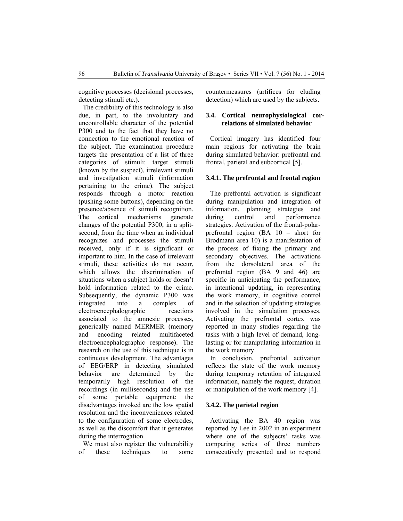cognitive processes (decisional processes, detecting stimuli etc.).

The credibility of this technology is also due, in part, to the involuntary and uncontrollable character of the potential P300 and to the fact that they have no connection to the emotional reaction of the subject. The examination procedure targets the presentation of a list of three categories of stimuli: target stimuli (known by the suspect), irrelevant stimuli and investigation stimuli (information pertaining to the crime). The subject responds through a motor reaction (pushing some buttons), depending on the presence/absence of stimuli recognition. The cortical mechanisms generate changes of the potential P300, in a splitsecond, from the time when an individual recognizes and processes the stimuli received, only if it is significant or important to him. In the case of irrelevant stimuli, these activities do not occur, which allows the discrimination of situations when a subject holds or doesn't hold information related to the crime. Subsequently, the dynamic P300 was integrated into a complex of electroencephalographic reactions associated to the amnesic processes, generically named MERMER (memory and encoding related multifaceted electroencephalographic response). The research on the use of this technique is in continuous development. The advantages of EEG/ERP in detecting simulated behavior are determined by the temporarily high resolution of the recordings (in milliseconds) and the use of some portable equipment; the disadvantages invoked are the low spatial resolution and the inconveniences related to the configuration of some electrodes, as well as the discomfort that it generates during the interrogation.

We must also register the vulnerability of these techniques to some countermeasures (artifices for eluding detection) which are used by the subjects.

## **3.4. Cortical neurophysiological correlations of simulated behavior**

Cortical imagery has identified four main regions for activating the brain during simulated behavior: prefrontal and frontal, parietal and subcortical [5].

### **3.4.1. The prefrontal and frontal region**

The prefrontal activation is significant during manipulation and integration of information, planning strategies and during control and performance strategies. Activation of the frontal-polarprefrontal region (BA 10 – short for Brodmann area 10) is a manifestation of the process of fixing the primary and secondary objectives. The activations from the dorsolateral area of the prefrontal region (BA 9 and 46) are specific in anticipating the performance, in intentional updating, in representing the work memory, in cognitive control and in the selection of updating strategies involved in the simulation processes. Activating the prefrontal cortex was reported in many studies regarding the tasks with a high level of demand, longlasting or for manipulating information in the work memory.

In conclusion, prefrontal activation reflects the state of the work memory during temporary retention of integrated information, namely the request, duration or manipulation of the work memory [4].

#### **3.4.2. The parietal region**

Activating the BA 40 region was reported by Lee in 2002 in an experiment where one of the subjects' tasks was comparing series of three numbers consecutively presented and to respond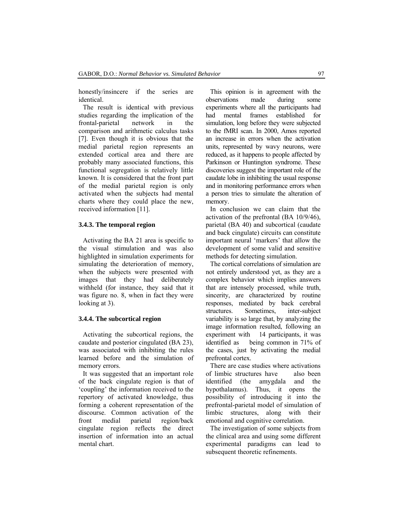honestly/insincere if the series are identical.

The result is identical with previous studies regarding the implication of the frontal-parietal network in the comparison and arithmetic calculus tasks [7]. Even though it is obvious that the medial parietal region represents an extended cortical area and there are probably many associated functions, this functional segregation is relatively little known. It is considered that the front part of the medial parietal region is only activated when the subjects had mental charts where they could place the new, received information [11].

## **3.4.3. The temporal region**

Activating the BA 21 area is specific to the visual stimulation and was also highlighted in simulation experiments for simulating the deterioration of memory, when the subjects were presented with images that they had deliberately withheld (for instance, they said that it was figure no. 8, when in fact they were looking at 3).

## **3.4.4. The subcortical region**

Activating the subcortical regions, the caudate and posterior cingulated (BA 23), was associated with inhibiting the rules learned before and the simulation of memory errors.

It was suggested that an important role of the back cingulate region is that of 'coupling' the information received to the repertory of activated knowledge, thus forming a coherent representation of the discourse. Common activation of the front medial parietal region/back cingulate region reflects the direct insertion of information into an actual mental chart.

This opinion is in agreement with the observations made during some experiments where all the participants had had mental frames established for simulation, long before they were subjected to the fMRI scan. In 2000, Amos reported an increase in errors when the activation units, represented by wavy neurons, were reduced, as it happens to people affected by Parkinson or Huntington syndrome. These discoveries suggest the important role of the caudate lobe in inhibiting the usual response and in monitoring performance errors when a person tries to simulate the alteration of memory.

In conclusion we can claim that the activation of the prefrontal (BA 10/9/46), parietal (BA 40) and subcortical (caudate and back cingulate) circuits can constitute important neural 'markers' that allow the development of some valid and sensitive methods for detecting simulation.

The cortical correlations of simulation are not entirely understood yet, as they are a complex behavior which implies answers that are intensely processed, while truth, sincerity, are characterized by routine responses, mediated by back cerebral structures. Sometimes, inter-subject variability is so large that, by analyzing the image information resulted, following an experiment with 14 participants, it was identified as being common in 71% of the cases, just by activating the medial prefrontal cortex.

There are case studies where activations of limbic structures have also been identified (the amygdala and the hypothalamus). Thus, it opens the possibility of introducing it into the prefrontal-parietal model of simulation of limbic structures, along with their emotional and cognitive correlation.

The investigation of some subjects from the clinical area and using some different experimental paradigms can lead to subsequent theoretic refinements.